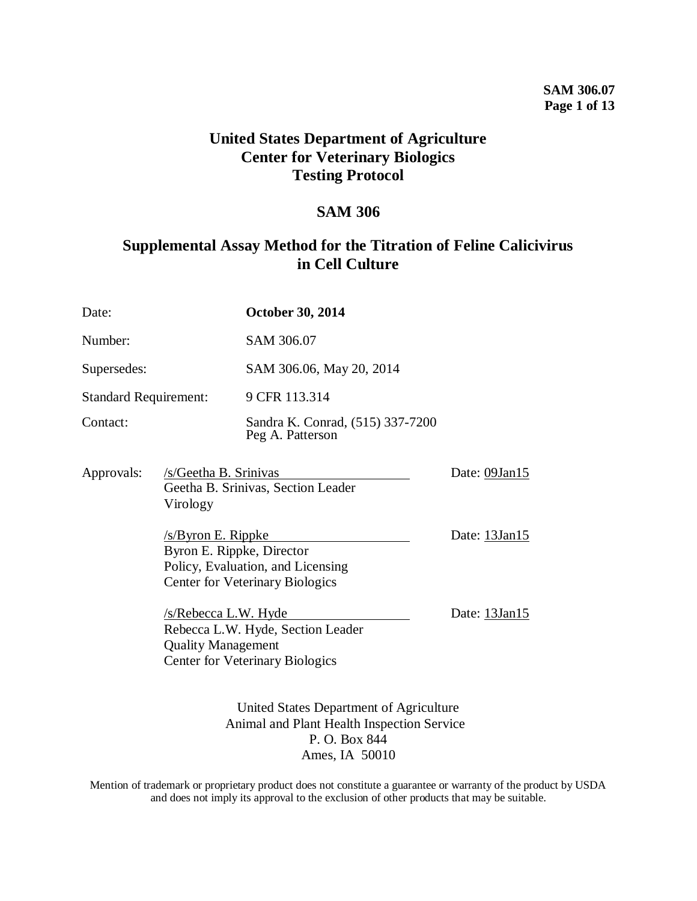# **SAM 306.07 Page 1 of 13**

# **United States Department of Agriculture Center for Veterinary Biologics Testing Protocol**

# **SAM 306**

# **Supplemental Assay Method for the Titration of Feline Calicivirus in Cell Culture**

| Date:                                              |                                                                         | <b>October 30, 2014</b>                                                                                |               |
|----------------------------------------------------|-------------------------------------------------------------------------|--------------------------------------------------------------------------------------------------------|---------------|
| Number:                                            |                                                                         | SAM 306.07                                                                                             |               |
| Supersedes:                                        |                                                                         | SAM 306.06, May 20, 2014                                                                               |               |
| <b>Standard Requirement:</b>                       |                                                                         | 9 CFR 113.314                                                                                          |               |
| Contact:                                           |                                                                         | Sandra K. Conrad, (515) 337-7200<br>Peg A. Patterson                                                   |               |
| Approvals:                                         | /s/Geetha B. Srinivas<br>Geetha B. Srinivas, Section Leader<br>Virology |                                                                                                        | Date: 09Jan15 |
| $/s/B$ yron E. Rippke<br>Byron E. Rippke, Director |                                                                         | Policy, Evaluation, and Licensing<br><b>Center for Veterinary Biologics</b>                            | Date: 13Jan15 |
|                                                    | $/s/Rebecca$ L.W. Hyde<br><b>Quality Management</b>                     | Rebecca L.W. Hyde, Section Leader<br><b>Center for Veterinary Biologics</b>                            | Date: 13Jan15 |
|                                                    |                                                                         | United States Department of Agriculture<br>Animal and Plant Health Inspection Service<br>P. O. Box 844 |               |

Ames, IA 50010

Mention of trademark or proprietary product does not constitute a guarantee or warranty of the product by USDA and does not imply its approval to the exclusion of other products that may be suitable.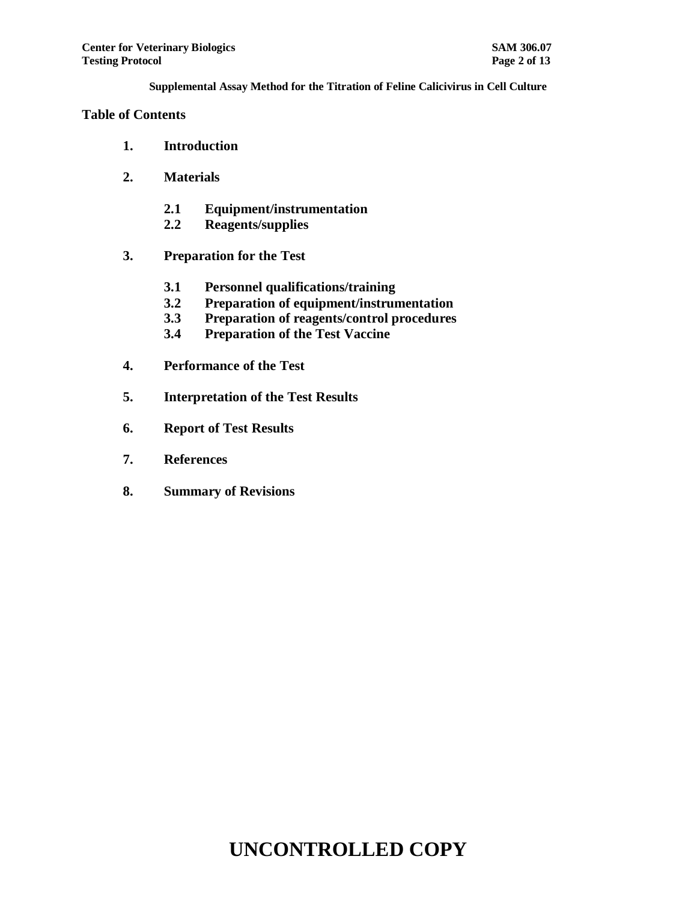### **Table of Contents**

- **1. Introduction**
- **2. Materials**
	- **2.1 Equipment/instrumentation**
	- **2.2 Reagents/supplies**
- **3. Preparation for the Test**
	- **3.1 Personnel qualifications/training**
	- **3.2 Preparation of equipment/instrumentation**
	- **3.3 Preparation of reagents/control procedures**
	- **3.4 Preparation of the Test Vaccine**
- **4. Performance of the Test**
- **5. Interpretation of the Test Results**
- **6. Report of Test Results**
- **7. References**
- **8. Summary of Revisions**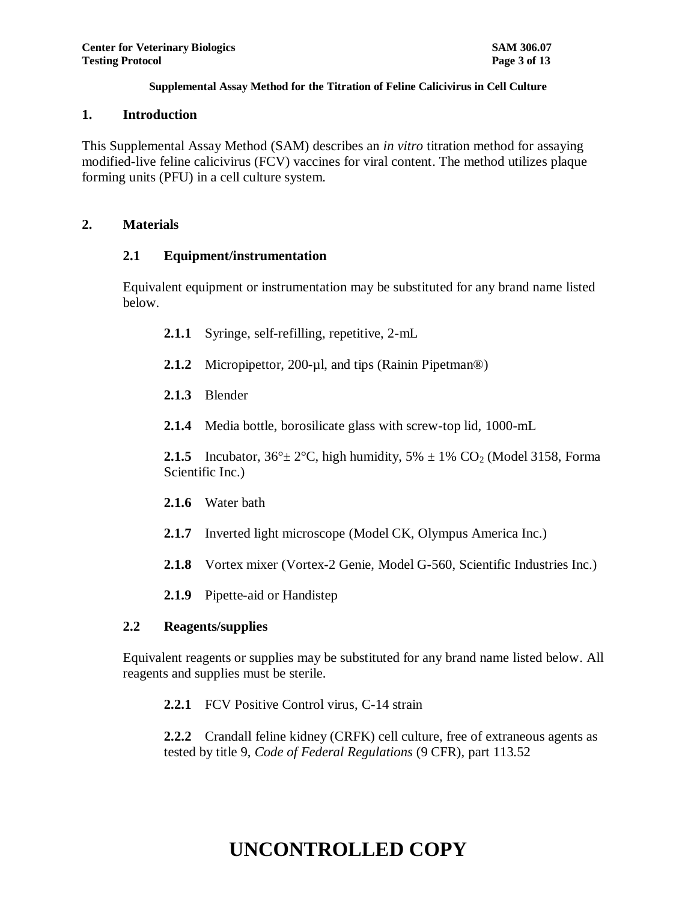### **1. Introduction**

This Supplemental Assay Method (SAM) describes an *in vitro* titration method for assaying modified-live feline calicivirus (FCV) vaccines for viral content. The method utilizes plaque forming units (PFU) in a cell culture system.

## **2. Materials**

# **2.1 Equipment/instrumentation**

Equivalent equipment or instrumentation may be substituted for any brand name listed below.

- **2.1.1** Syringe, self-refilling, repetitive, 2-mL
- 2.1.2 Micropipettor, 200-ul, and tips (Rainin Pipetman<sup>®</sup>)
- **2.1.3** Blender
- **2.1.4** Media bottle, borosilicate glass with screw-top lid, 1000-mL

**2.1.5** Incubator,  $36^{\circ} \pm 2^{\circ}$ C, high humidity,  $5\% \pm 1\%$  CO<sub>2</sub> (Model 3158, Forma Scientific Inc.)

- **2.1.6** Water bath
- **2.1.7** Inverted light microscope (Model CK, Olympus America Inc.)
- **2.1.8** Vortex mixer (Vortex-2 Genie, Model G-560, Scientific Industries Inc.)
- **2.1.9** Pipette-aid or Handistep

# **2.2 Reagents/supplies**

Equivalent reagents or supplies may be substituted for any brand name listed below. All reagents and supplies must be sterile.

**2.2.1** FCV Positive Control virus, C-14 strain

**2.2.2** Crandall feline kidney (CRFK) cell culture, free of extraneous agents as tested by title 9, *Code of Federal Regulations* (9 CFR), part 113.52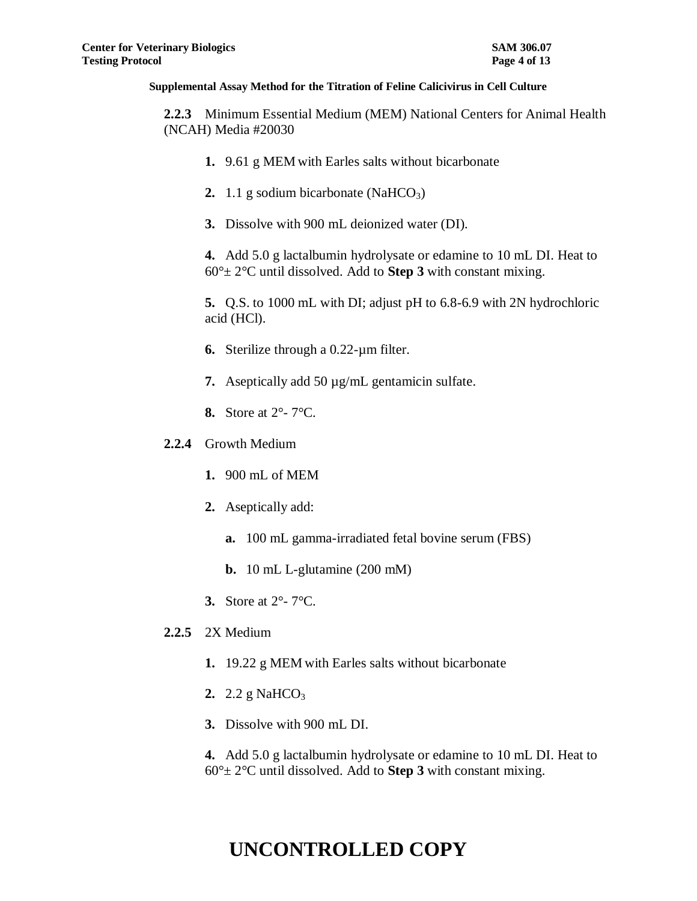**2.2.3** Minimum Essential Medium (MEM) National Centers for Animal Health (NCAH) Media #20030

- **1.** 9.61 g MEM with Earles salts without bicarbonate
- **2.** 1.1 g sodium bicarbonate (NaHCO<sub>3</sub>)
- **3.** Dissolve with 900 mL deionized water (DI).

**4.** Add 5.0 g lactalbumin hydrolysate or edamine to 10 mL DI. Heat to  $60^\circ \pm 2^\circ$ C until dissolved. Add to **Step 3** with constant mixing.

**5.** Q.S. to 1000 mL with DI; adjust pH to 6.8-6.9 with 2N hydrochloric acid (HCl).

- **6.** Sterilize through a 0.22-µm filter.
- **7.** Aseptically add 50 µg/mL gentamicin sulfate.
- **8.** Store at 2°- 7°C.
- **2.2.4** Growth Medium
	- **1.** 900 mL of MEM
	- **2.** Aseptically add:
		- **a.** 100 mL gamma-irradiated fetal bovine serum (FBS)
		- **b.** 10 mL L-glutamine (200 mM)
	- **3.** Store at 2°- 7°C.
- **2.2.5** 2X Medium
	- **1.** 19.22 g MEM with Earles salts without bicarbonate
	- **2.** 2.2 g NaHCO<sub>3</sub>
	- **3.** Dissolve with 900 mL DI.

**4.** Add 5.0 g lactalbumin hydrolysate or edamine to 10 mL DI. Heat to  $60^\circ \pm 2^\circ$ C until dissolved. Add to **Step 3** with constant mixing.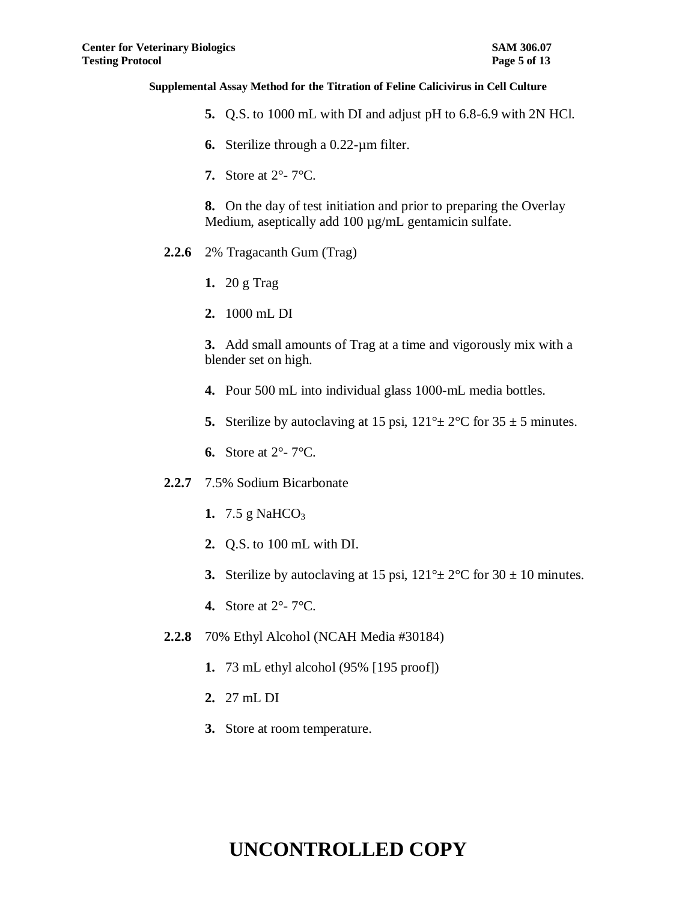- **5.** Q.S. to 1000 mL with DI and adjust pH to 6.8-6.9 with 2N HCl.
- **6.** Sterilize through a 0.22-µm filter.
- **7.** Store at 2°- 7°C.

**8.** On the day of test initiation and prior to preparing the Overlay Medium, aseptically add 100 µg/mL gentamicin sulfate.

- **2.2.6** 2% Tragacanth Gum (Trag)
	- **1.** 20 g Trag
	- **2.** 1000 mL DI

**3.** Add small amounts of Trag at a time and vigorously mix with a blender set on high.

- **4.** Pour 500 mL into individual glass 1000-mL media bottles.
- **5.** Sterilize by autoclaving at 15 psi,  $121^\circ \pm 2^\circ \text{C}$  for  $35 \pm 5$  minutes.
- **6.** Store at 2°- 7°C.
- **2.2.7** 7.5% Sodium Bicarbonate
	- **1.** 7.5 g NaHCO<sub>3</sub>
	- **2.** Q.S. to 100 mL with DI.
	- **3.** Sterilize by autoclaving at 15 psi,  $121^\circ \pm 2^\circ \text{C}$  for  $30 \pm 10$  minutes.
	- **4.** Store at 2°- 7°C.
- **2.2.8** 70% Ethyl Alcohol (NCAH Media #30184)
	- **1.** 73 mL ethyl alcohol (95% [195 proof])
	- **2.** 27 mL DI
	- **3.** Store at room temperature.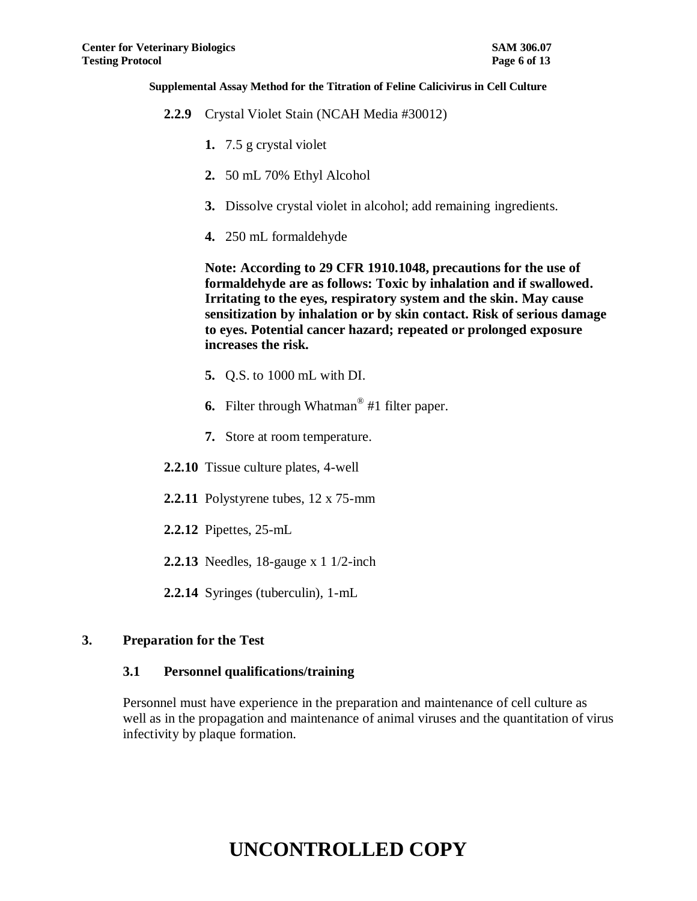- **2.2.9** Crystal Violet Stain (NCAH Media #30012)
	- **1.** 7.5 g crystal violet
	- **2.** 50 mL 70% Ethyl Alcohol
	- **3.** Dissolve crystal violet in alcohol; add remaining ingredients.
	- **4.** 250 mL formaldehyde

**Note: According to 29 CFR 1910.1048, precautions for the use of formaldehyde are as follows: Toxic by inhalation and if swallowed. Irritating to the eyes, respiratory system and the skin. May cause sensitization by inhalation or by skin contact. Risk of serious damage to eyes. Potential cancer hazard; repeated or prolonged exposure increases the risk.**

- **5.** Q.S. to 1000 mL with DI.
- **6.** Filter through Whatman® #1 filter paper.
- **7.** Store at room temperature.
- **2.2.10** Tissue culture plates, 4-well
- **2.2.11** Polystyrene tubes, 12 x 75-mm
- **2.2.12** Pipettes, 25-mL
- **2.2.13** Needles, 18-gauge x 1 1/2-inch
- **2.2.14** Syringes (tuberculin), 1-mL

### **3. Preparation for the Test**

### **3.1 Personnel qualifications/training**

Personnel must have experience in the preparation and maintenance of cell culture as well as in the propagation and maintenance of animal viruses and the quantitation of virus infectivity by plaque formation.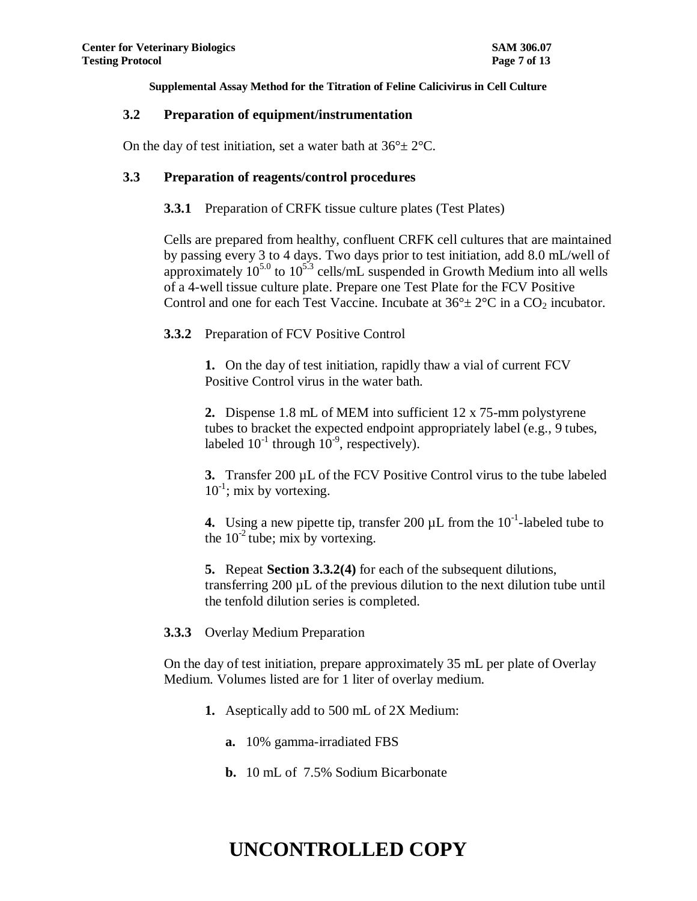### **3.2 Preparation of equipment/instrumentation**

On the day of test initiation, set a water bath at  $36^{\circ} \pm 2^{\circ}$ C.

### **3.3 Preparation of reagents/control procedures**

### **3.3.1** Preparation of CRFK tissue culture plates (Test Plates)

Cells are prepared from healthy, confluent CRFK cell cultures that are maintained by passing every 3 to 4 days. Two days prior to test initiation, add 8.0 mL/well of approximately  $10^{5.0}$  to  $10^{5.3}$  cells/mL suspended in Growth Medium into all wells of a 4-well tissue culture plate. Prepare one Test Plate for the FCV Positive Control and one for each Test Vaccine. Incubate at  $36^{\circ} \pm 2^{\circ}$ C in a CO<sub>2</sub> incubator.

**3.3.2** Preparation of FCV Positive Control

**1.** On the day of test initiation, rapidly thaw a vial of current FCV Positive Control virus in the water bath.

**2.** Dispense 1.8 mL of MEM into sufficient 12 x 75-mm polystyrene tubes to bracket the expected endpoint appropriately label (e.g., 9 tubes, labeled  $10^{-1}$  through  $10^{-9}$ , respectively).

**3.** Transfer 200 µL of the FCV Positive Control virus to the tube labeled  $10^{-1}$ ; mix by vortexing.

**4.** Using a new pipette tip, transfer 200  $\mu$ L from the  $10^{-1}$ -labeled tube to the  $10^{-2}$  tube; mix by vortexing.

**5.** Repeat **Section 3.3.2(4)** for each of the subsequent dilutions, transferring 200 µL of the previous dilution to the next dilution tube until the tenfold dilution series is completed.

### **3.3.3** Overlay Medium Preparation

On the day of test initiation, prepare approximately 35 mL per plate of Overlay Medium. Volumes listed are for 1 liter of overlay medium.

- **1.** Aseptically add to 500 mL of 2X Medium:
	- **a.** 10% gamma-irradiated FBS
	- **b.** 10 mL of 7.5% Sodium Bicarbonate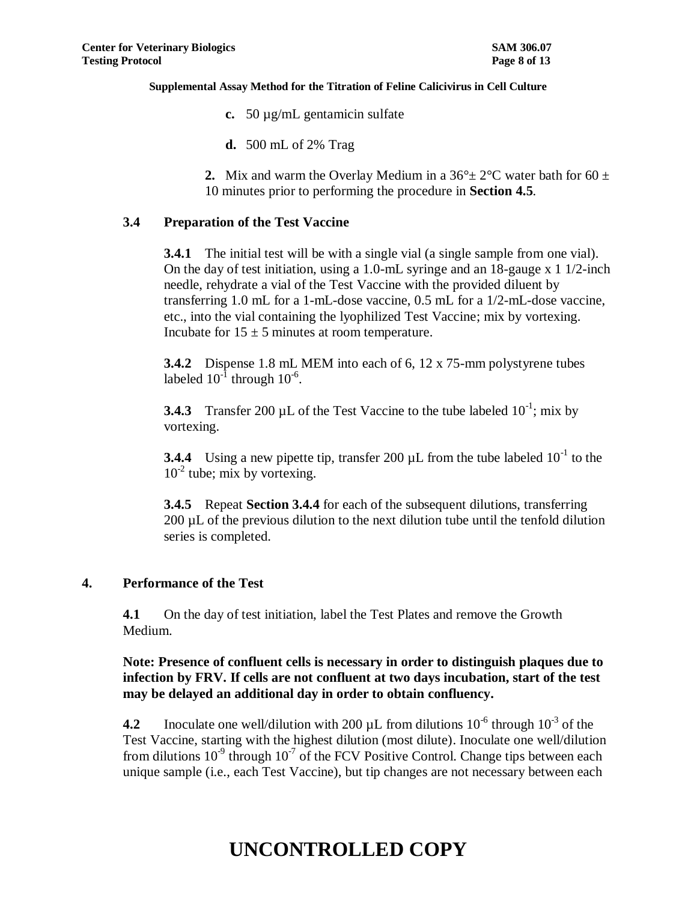- **c.** 50 µg/mL gentamicin sulfate
- **d.** 500 mL of 2% Trag
- **2.** Mix and warm the Overlay Medium in a  $36^{\circ} \pm 2^{\circ}$ C water bath for 60  $\pm$ 10 minutes prior to performing the procedure in **Section 4.5**.

## **3.4 Preparation of the Test Vaccine**

**3.4.1** The initial test will be with a single vial (a single sample from one vial). On the day of test initiation, using a 1.0-mL syringe and an 18-gauge x 1 1/2-inch needle, rehydrate a vial of the Test Vaccine with the provided diluent by transferring 1.0 mL for a 1-mL-dose vaccine, 0.5 mL for a 1/2-mL-dose vaccine, etc., into the vial containing the lyophilized Test Vaccine; mix by vortexing. Incubate for  $15 \pm 5$  minutes at room temperature.

**3.4.2** Dispense 1.8 mL MEM into each of 6, 12 x 75-mm polystyrene tubes labeled  $10^{-1}$  through  $10^{-6}$ .

**3.4.3** Transfer 200 µL of the Test Vaccine to the tube labeled  $10^{-1}$ ; mix by vortexing.

**3.4.4** Using a new pipette tip, transfer 200  $\mu$ L from the tube labeled  $10^{-1}$  to the 10<sup>-2</sup> tube; mix by vortexing.

**3.4.5** Repeat **Section 3.4.4** for each of the subsequent dilutions, transferring 200 µL of the previous dilution to the next dilution tube until the tenfold dilution series is completed.

### **4. Performance of the Test**

**4.1** On the day of test initiation, label the Test Plates and remove the Growth Medium.

**Note: Presence of confluent cells is necessary in order to distinguish plaques due to infection by FRV. If cells are not confluent at two days incubation, start of the test may be delayed an additional day in order to obtain confluency.**

**4.2** Inoculate one well/dilution with 200  $\mu$ L from dilutions 10<sup>-6</sup> through 10<sup>-3</sup> of the Test Vaccine, starting with the highest dilution (most dilute). Inoculate one well/dilution from dilutions  $10^{-9}$  through  $10^{-7}$  of the FCV Positive Control. Change tips between each unique sample (i.e., each Test Vaccine), but tip changes are not necessary between each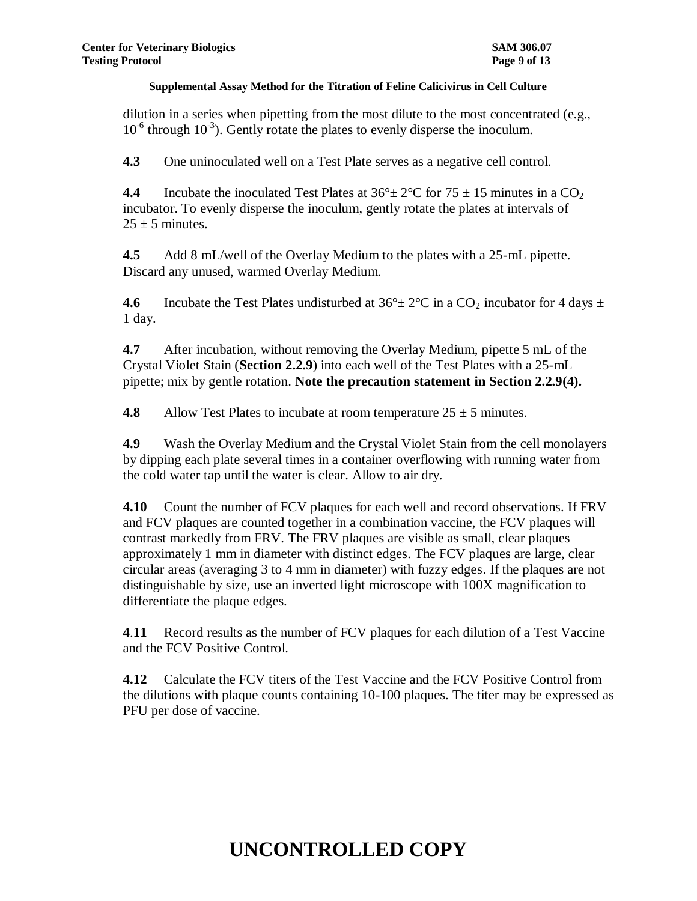dilution in a series when pipetting from the most dilute to the most concentrated (e.g.,  $10^{-6}$  through  $10^{-3}$ ). Gently rotate the plates to evenly disperse the inoculum.

**4.3** One uninoculated well on a Test Plate serves as a negative cell control.

**4.4** Incubate the inoculated Test Plates at  $36^{\circ} \pm 2^{\circ}$ C for  $75 \pm 15$  minutes in a  $CO_2$ incubator. To evenly disperse the inoculum, gently rotate the plates at intervals of  $25 \pm 5$  minutes.

**4.5** Add 8 mL/well of the Overlay Medium to the plates with a 25-mL pipette. Discard any unused, warmed Overlay Medium.

**4.6** Incubate the Test Plates undisturbed at  $36^\circ \pm 2^\circ \text{C}$  in a CO<sub>2</sub> incubator for 4 days  $\pm$ 1 day.

**4.7** After incubation, without removing the Overlay Medium, pipette 5 mL of the Crystal Violet Stain (**Section 2.2.9**) into each well of the Test Plates with a 25-mL pipette; mix by gentle rotation. **Note the precaution statement in Section 2.2.9(4).**

**4.8** Allow Test Plates to incubate at room temperature  $25 \pm 5$  minutes.

**4.9** Wash the Overlay Medium and the Crystal Violet Stain from the cell monolayers by dipping each plate several times in a container overflowing with running water from the cold water tap until the water is clear. Allow to air dry.

**4.10** Count the number of FCV plaques for each well and record observations. If FRV and FCV plaques are counted together in a combination vaccine, the FCV plaques will contrast markedly from FRV. The FRV plaques are visible as small, clear plaques approximately 1 mm in diameter with distinct edges. The FCV plaques are large, clear circular areas (averaging 3 to 4 mm in diameter) with fuzzy edges. If the plaques are not distinguishable by size, use an inverted light microscope with 100X magnification to differentiate the plaque edges.

**4**.**11** Record results as the number of FCV plaques for each dilution of a Test Vaccine and the FCV Positive Control.

**4.12** Calculate the FCV titers of the Test Vaccine and the FCV Positive Control from the dilutions with plaque counts containing 10-100 plaques. The titer may be expressed as PFU per dose of vaccine.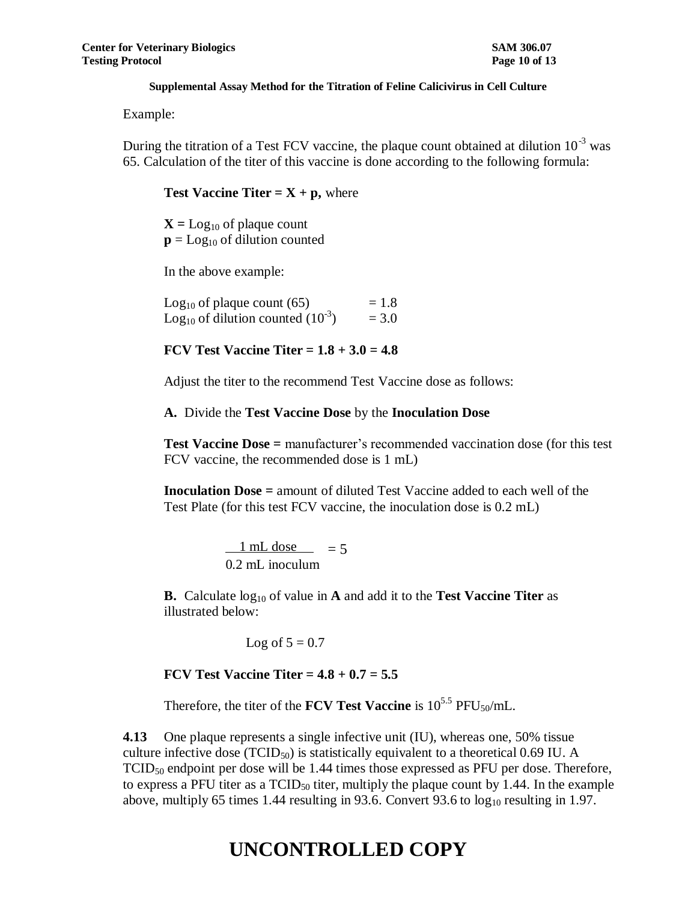Example:

During the titration of a Test FCV vaccine, the plaque count obtained at dilution  $10^{-3}$  was 65. Calculation of the titer of this vaccine is done according to the following formula:

**Test Vaccine Titer =**  $X + p$ **,** where

 $X =$  Log<sub>10</sub> of plaque count  $\mathbf{p} = \text{Log}_{10}$  of dilution counted

In the above example:

Log<sub>10</sub> of plaque count  $(65)$  = 1.8 Log<sub>10</sub> of dilution counted  $(10^{-3})$  = 3.0

**FCV Test Vaccine Titer = 1.8 + 3.0 = 4.8**

Adjust the titer to the recommend Test Vaccine dose as follows:

**A.** Divide the **Test Vaccine Dose** by the **Inoculation Dose**

**Test Vaccine Dose =** manufacturer's recommended vaccination dose (for this test FCV vaccine, the recommended dose is 1 mL)

**Inoculation Dose =** amount of diluted Test Vaccine added to each well of the Test Plate (for this test FCV vaccine, the inoculation dose is 0.2 mL)

> $\frac{1 \text{ mL dose}}{5}$  = 5 0.2 mL inoculum

**B.** Calculate  $log_{10}$  of value in **A** and add it to the **Test Vaccine Titer** as illustrated below:

Log of  $5 = 0.7$ 

**FCV Test Vaccine Titer = 4.8 + 0.7 = 5.5**

Therefore, the titer of the **FCV Test Vaccine** is  $10^{5.5}$  PFU<sub>50</sub>/mL.

**4.13** One plaque represents a single infective unit (IU), whereas one, 50% tissue culture infective dose (TCID<sub>50</sub>) is statistically equivalent to a theoretical 0.69 IU. A  $TCID<sub>50</sub>$  endpoint per dose will be 1.44 times those expressed as PFU per dose. Therefore, to express a PFU titer as a  $TCID_{50}$  titer, multiply the plaque count by 1.44. In the example above, multiply 65 times 1.44 resulting in 93.6. Convert 93.6 to  $log_{10}$  resulting in 1.97.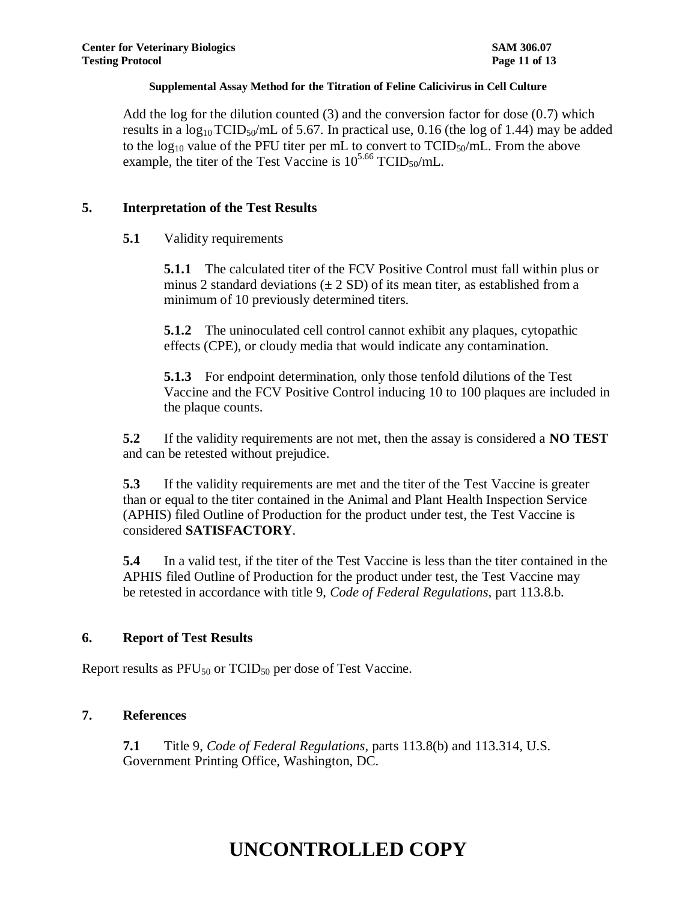Add the log for the dilution counted  $(3)$  and the conversion factor for dose  $(0.7)$  which results in a  $log_{10} TCID_{50}/mL$  of 5.67. In practical use, 0.16 (the log of 1.44) may be added to the  $log_{10}$  value of the PFU titer per mL to convert to  $TCID_{50}/mL$ . From the above example, the titer of the Test Vaccine is  $10^{5.66}$  TCID<sub>50</sub>/mL.

## **5. Interpretation of the Test Results**

# **5.1** Validity requirements

**5.1.1** The calculated titer of the FCV Positive Control must fall within plus or minus 2 standard deviations  $(\pm 2 \text{ SD})$  of its mean titer, as established from a minimum of 10 previously determined titers.

**5.1.2** The uninoculated cell control cannot exhibit any plaques, cytopathic effects (CPE), or cloudy media that would indicate any contamination.

**5.1.3** For endpoint determination, only those tenfold dilutions of the Test Vaccine and the FCV Positive Control inducing 10 to 100 plaques are included in the plaque counts.

**5.2** If the validity requirements are not met, then the assay is considered a **NO TEST** and can be retested without prejudice.

**5.3** If the validity requirements are met and the titer of the Test Vaccine is greater than or equal to the titer contained in the Animal and Plant Health Inspection Service (APHIS) filed Outline of Production for the product under test, the Test Vaccine is considered **SATISFACTORY**.

**5.4** In a valid test, if the titer of the Test Vaccine is less than the titer contained in the APHIS filed Outline of Production for the product under test, the Test Vaccine may be retested in accordance with title 9, *Code of Federal Regulations*, part 113.8.b.

# **6. Report of Test Results**

Report results as  $PFU_{50}$  or  $TCID_{50}$  per dose of Test Vaccine.

# **7. References**

**7.1** Title 9, *Code of Federal Regulations*, parts 113.8(b) and 113.314, U.S. Government Printing Office, Washington, DC.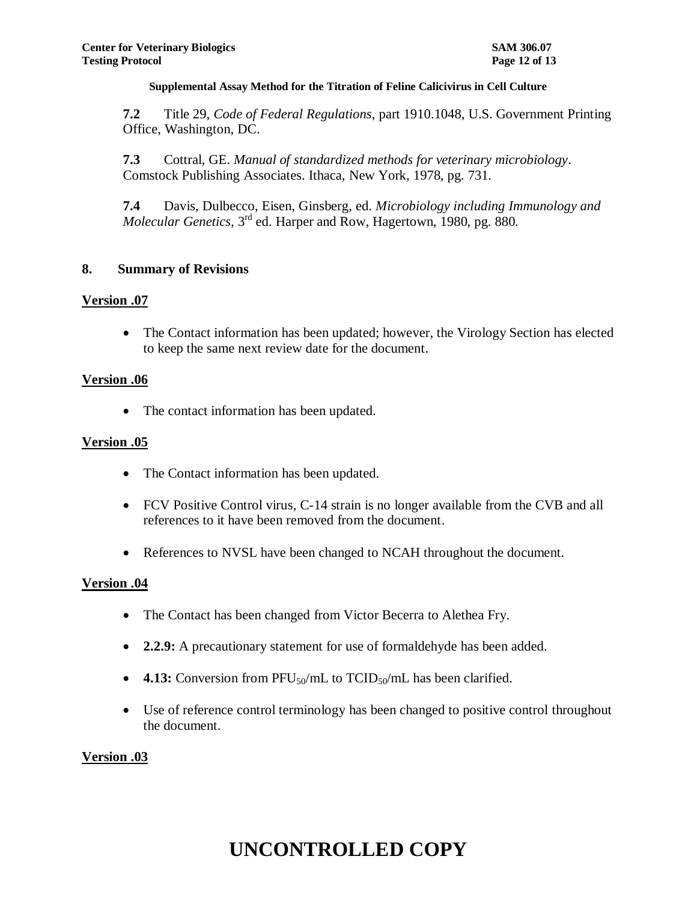**7.2** Title 29, *Code of Federal Regulations*, part 1910.1048, U.S. Government Printing Office, Washington, DC.

**7.3** Cottral, GE. *Manual of standardized methods for veterinary microbiology*. Comstock Publishing Associates. Ithaca, New York, 1978, pg. 731.

**7.4** Davis, Dulbecco, Eisen, Ginsberg, ed. *Microbiology including Immunology and*  Molecular Genetics, 3<sup>rd</sup> ed. Harper and Row, Hagertown, 1980, pg. 880.

### **8. Summary of Revisions**

### **Version .07**

 The Contact information has been updated; however, the Virology Section has elected to keep the same next review date for the document.

### **Version .06**

• The contact information has been updated.

### **Version .05**

- The Contact information has been updated.
- FCV Positive Control virus, C-14 strain is no longer available from the CVB and all references to it have been removed from the document.
- References to NVSL have been changed to NCAH throughout the document.

### **Version .04**

- The Contact has been changed from Victor Becerra to Alethea Fry.
- **2.2.9:** A precautionary statement for use of formaldehyde has been added.
- **4.13:** Conversion from PFU<sub>50</sub>/mL to TCID<sub>50</sub>/mL has been clarified.
- Use of reference control terminology has been changed to positive control throughout the document.

### **Version .03**